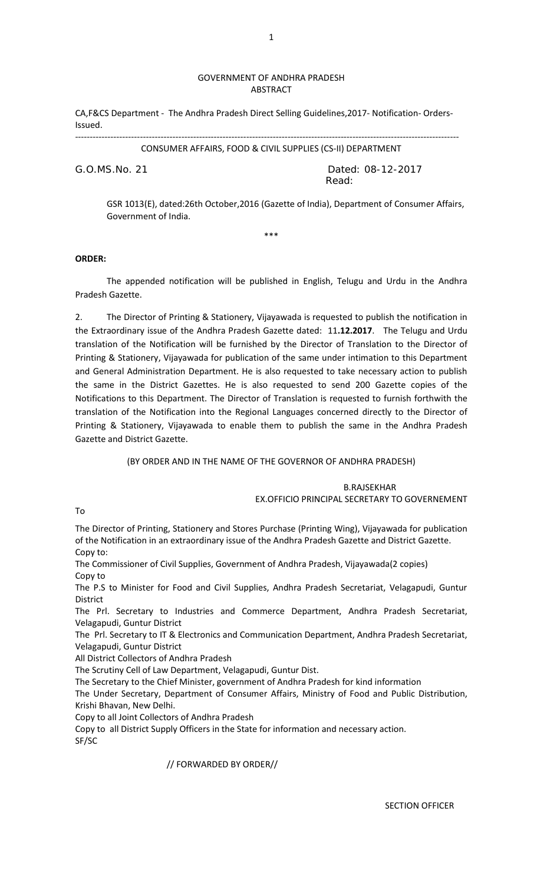### GOVERNMENT OF ANDHRA PRADESH ABSTRACT

CA,F&CS Department - The Andhra Pradesh Direct Selling Guidelines,2017- Notification- Orders-Issued.

---------------------------------------------------------------------------------------------------------------------------------- CONSUMER AFFAIRS, FOOD & CIVIL SUPPLIES (CS-II) DEPARTMENT

G.O.MS.No. 21 Dated: 08-12-2017 **Read:** The contract of the contract of the Read:

GSR 1013(E), dated:26th October,2016 (Gazette of India), Department of Consumer Affairs, Government of India.

\*\*\*

### **ORDER:**

 The appended notification will be published in English, Telugu and Urdu in the Andhra Pradesh Gazette.

2. The Director of Printing & Stationery, Vijayawada is requested to publish the notification in the Extraordinary issue of the Andhra Pradesh Gazette dated: 11**.12.2017**. The Telugu and Urdu translation of the Notification will be furnished by the Director of Translation to the Director of Printing & Stationery, Vijayawada for publication of the same under intimation to this Department and General Administration Department. He is also requested to take necessary action to publish the same in the District Gazettes. He is also requested to send 200 Gazette copies of the Notifications to this Department. The Director of Translation is requested to furnish forthwith the translation of the Notification into the Regional Languages concerned directly to the Director of Printing & Stationery, Vijayawada to enable them to publish the same in the Andhra Pradesh Gazette and District Gazette.

(BY ORDER AND IN THE NAME OF THE GOVERNOR OF ANDHRA PRADESH)

 B.RAJSEKHAR EX.OFFICIO PRINCIPAL SECRETARY TO GOVERNEMENT

To

The Director of Printing, Stationery and Stores Purchase (Printing Wing), Vijayawada for publication of the Notification in an extraordinary issue of the Andhra Pradesh Gazette and District Gazette. Copy to:

The Commissioner of Civil Supplies, Government of Andhra Pradesh, Vijayawada(2 copies) Copy to

The P.S to Minister for Food and Civil Supplies, Andhra Pradesh Secretariat, Velagapudi, Guntur **District** 

The Prl. Secretary to Industries and Commerce Department, Andhra Pradesh Secretariat, Velagapudi, Guntur District

The Prl. Secretary to IT & Electronics and Communication Department, Andhra Pradesh Secretariat, Velagapudi, Guntur District

All District Collectors of Andhra Pradesh

The Scrutiny Cell of Law Department, Velagapudi, Guntur Dist.

The Secretary to the Chief Minister, government of Andhra Pradesh for kind information

The Under Secretary, Department of Consumer Affairs, Ministry of Food and Public Distribution, Krishi Bhavan, New Delhi.

Copy to all Joint Collectors of Andhra Pradesh

Copy to all District Supply Officers in the State for information and necessary action. SF/SC

// FORWARDED BY ORDER//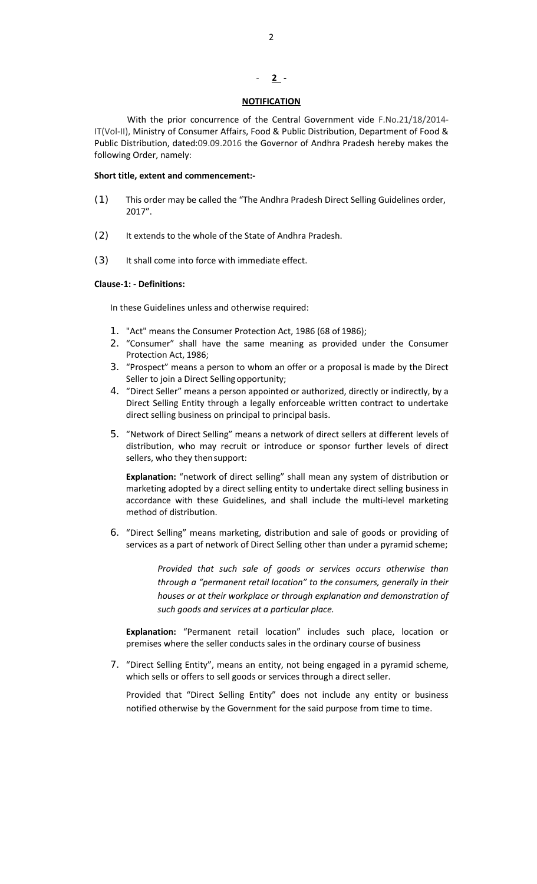### - **2 -**

### **NOTIFICATION**

 With the prior concurrence of the Central Government vide F.No.21/18/2014- IT(Vol-II), Ministry of Consumer Affairs, Food & Public Distribution, Department of Food & Public Distribution, dated:09.09.2016 the Governor of Andhra Pradesh hereby makes the following Order, namely:

### **Short title, extent and commencement:-**

- (1) This order may be called the "The Andhra Pradesh Direct Selling Guidelines order, 2017".
- (2) It extends to the whole of the State of Andhra Pradesh.
- (3) It shall come into force with immediate effect.

### **Clause-1: - Definitions:**

In these Guidelines unless and otherwise required:

- 1. "Act" means the Consumer Protection Act, 1986 (68 of 1986);
- 2. "Consumer" shall have the same meaning as provided under the Consumer Protection Act, 1986;
- 3. "Prospect" means a person to whom an offer or a proposal is made by the Direct Seller to join a Direct Selling opportunity;
- 4. "Direct Seller" means a person appointed or authorized, directly or indirectly, by a Direct Selling Entity through a legally enforceable written contract to undertake direct selling business on principal to principal basis.
- 5. "Network of Direct Selling" means a network of direct sellers at different levels of distribution, who may recruit or introduce or sponsor further levels of direct sellers, who they then support:

**Explanation:** "network of direct selling" shall mean any system of distribution or marketing adopted by a direct selling entity to undertake direct selling business in accordance with these Guidelines, and shall include the multi-level marketing method of distribution.

6. "Direct Selling" means marketing, distribution and sale of goods or providing of services as a part of network of Direct Selling other than under a pyramid scheme;

> *Provided that such sale of goods or services occurs otherwise than through a "permanent retail location" to the consumers, generally in their houses or at their workplace or through explanation and demonstration of such goods and services at a particular place.*

**Explanation:** "Permanent retail location" includes such place, location or premises where the seller conducts sales in the ordinary course of business

7. "Direct Selling Entity", means an entity, not being engaged in a pyramid scheme, which sells or offers to sell goods or services through a direct seller.

Provided that "Direct Selling Entity" does not include any entity or business notified otherwise by the Government for the said purpose from time to time.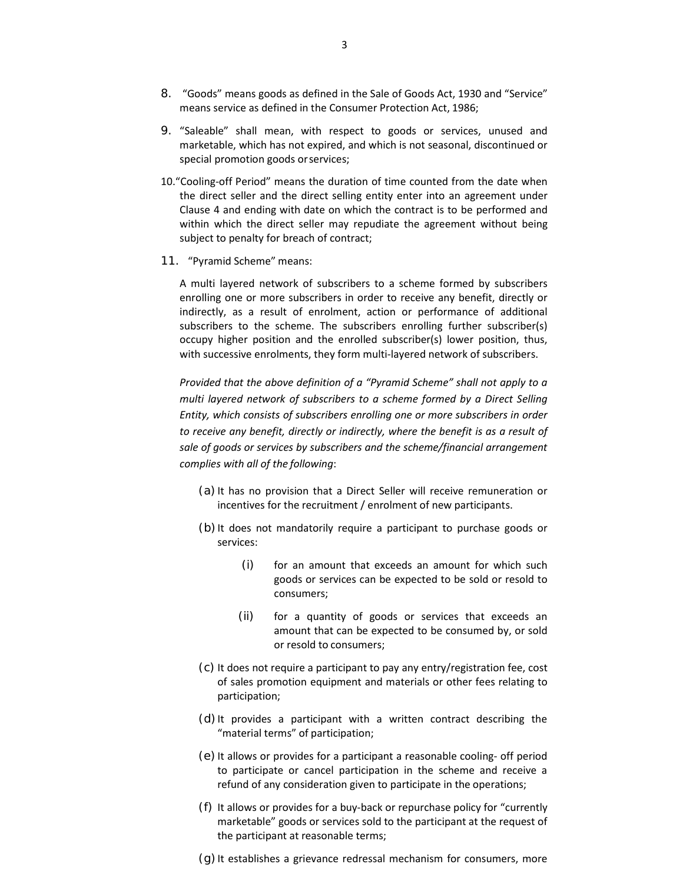- 8. "Goods" means goods as defined in the Sale of Goods Act, 1930 and "Service" means service as defined in the Consumer Protection Act, 1986;
- 9. "Saleable" shall mean, with respect to goods or services, unused and marketable, which has not expired, and which is not seasonal, discontinued or special promotion goods or services;
- 10."Cooling-off Period" means the duration of time counted from the date when the direct seller and the direct selling entity enter into an agreement under Clause 4 and ending with date on which the contract is to be performed and within which the direct seller may repudiate the agreement without being subject to penalty for breach of contract;
- 11. "Pyramid Scheme" means:

A multi layered network of subscribers to a scheme formed by subscribers enrolling one or more subscribers in order to receive any benefit, directly or indirectly, as a result of enrolment, action or performance of additional subscribers to the scheme. The subscribers enrolling further subscriber(s) occupy higher position and the enrolled subscriber(s) lower position, thus, with successive enrolments, they form multi-layered network of subscribers.

*Provided that the above definition of a "Pyramid Scheme" shall not apply to a multi layered network of subscribers to a scheme formed by a Direct Selling Entity, which consists of subscribers enrolling one or more subscribers in order to receive any benefit, directly or indirectly, where the benefit is as a result of sale of goods or services by subscribers and the scheme/financial arrangement complies with all of the following*:

- (a) It has no provision that a Direct Seller will receive remuneration or incentives for the recruitment / enrolment of new participants.
- (b) It does not mandatorily require a participant to purchase goods or services:
	- (i) for an amount that exceeds an amount for which such goods or services can be expected to be sold or resold to consumers;
	- (ii) for a quantity of goods or services that exceeds an amount that can be expected to be consumed by, or sold or resold to consumers;
- (c) It does not require a participant to pay any entry/registration fee, cost of sales promotion equipment and materials or other fees relating to participation;
- (d) It provides a participant with a written contract describing the "material terms" of participation;
- (e) It allows or provides for a participant a reasonable cooling- off period to participate or cancel participation in the scheme and receive a refund of any consideration given to participate in the operations;
- (f) It allows or provides for a buy-back or repurchase policy for "currently marketable" goods or services sold to the participant at the request of the participant at reasonable terms;
- (g) It establishes a grievance redressal mechanism for consumers, more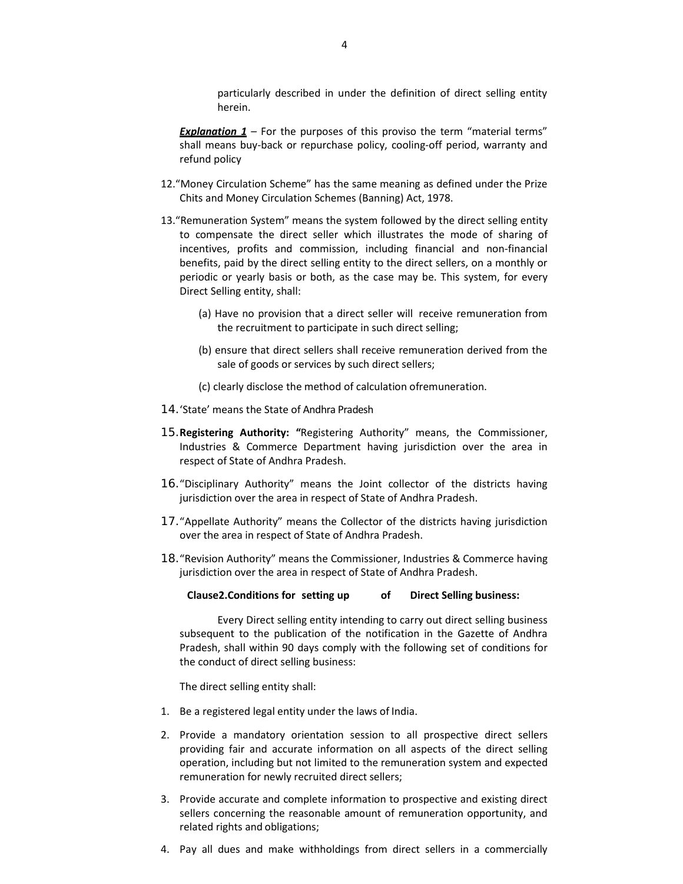particularly described in under the definition of direct selling entity herein.

- *Explanation 1* For the purposes of this proviso the term "material terms" shall means buy-back or repurchase policy, cooling-off period, warranty and refund policy
- 12."Money Circulation Scheme" has the same meaning as defined under the Prize Chits and Money Circulation Schemes (Banning) Act, 1978.
- 13."Remuneration System" means the system followed by the direct selling entity to compensate the direct seller which illustrates the mode of sharing of incentives, profits and commission, including financial and non-financial benefits, paid by the direct selling entity to the direct sellers, on a monthly or periodic or yearly basis or both, as the case may be. This system, for every Direct Selling entity, shall:
	- (a) Have no provision that a direct seller will receive remuneration from the recruitment to participate in such direct selling;
	- (b) ensure that direct sellers shall receive remuneration derived from the sale of goods or services by such direct sellers;
	- (c) clearly disclose the method of calculation of remuneration.
- 14.'State' means the State of Andhra Pradesh
- 15.**Registering Authority: "**Registering Authority" means, the Commissioner, Industries & Commerce Department having jurisdiction over the area in respect of State of Andhra Pradesh.
- 16."Disciplinary Authority" means the Joint collector of the districts having jurisdiction over the area in respect of State of Andhra Pradesh.
- 17."Appellate Authority" means the Collector of the districts having jurisdiction over the area in respect of State of Andhra Pradesh.
- 18."Revision Authority" means the Commissioner, Industries & Commerce having jurisdiction over the area in respect of State of Andhra Pradesh.

#### **Clause2.Conditions for setting up of Direct Selling business:**

Every Direct selling entity intending to carry out direct selling business subsequent to the publication of the notification in the Gazette of Andhra Pradesh, shall within 90 days comply with the following set of conditions for the conduct of direct selling business:

The direct selling entity shall:

- 1. Be a registered legal entity under the laws of India.
- 2. Provide a mandatory orientation session to all prospective direct sellers providing fair and accurate information on all aspects of the direct selling operation, including but not limited to the remuneration system and expected remuneration for newly recruited direct sellers;
- 3. Provide accurate and complete information to prospective and existing direct sellers concerning the reasonable amount of remuneration opportunity, and related rights and obligations;
- 4. Pay all dues and make withholdings from direct sellers in a commercially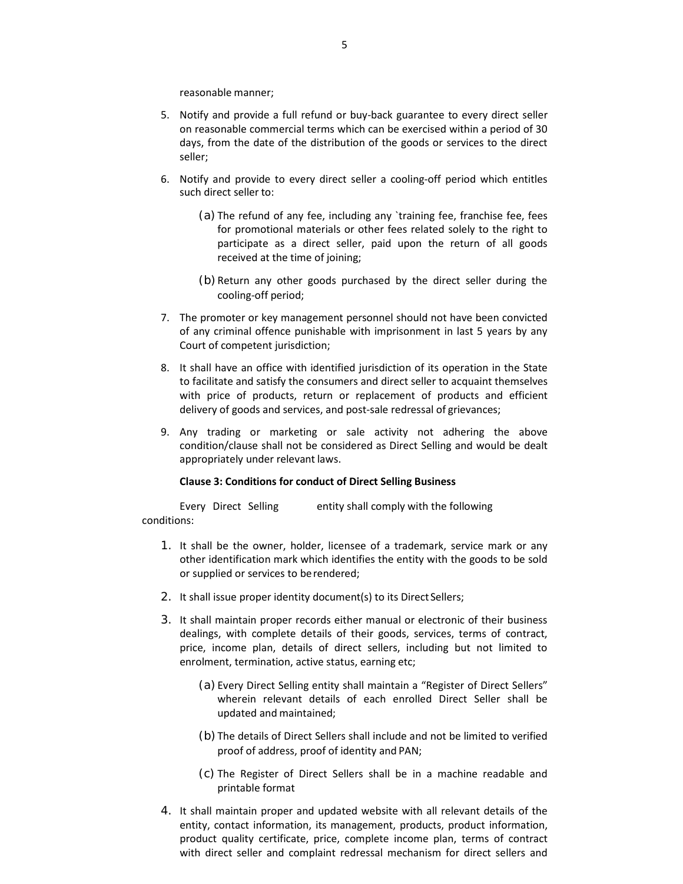reasonable manner;

- 5. Notify and provide a full refund or buy-back guarantee to every direct seller on reasonable commercial terms which can be exercised within a period of 30 days, from the date of the distribution of the goods or services to the direct seller;
- 6. Notify and provide to every direct seller a cooling-off period which entitles such direct seller to:
	- (a) The refund of any fee, including any `training fee, franchise fee, fees for promotional materials or other fees related solely to the right to participate as a direct seller, paid upon the return of all goods received at the time of joining;
	- (b) Return any other goods purchased by the direct seller during the cooling-off period;
- 7. The promoter or key management personnel should not have been convicted of any criminal offence punishable with imprisonment in last 5 years by any Court of competent jurisdiction;
- 8. It shall have an office with identified jurisdiction of its operation in the State to facilitate and satisfy the consumers and direct seller to acquaint themselves with price of products, return or replacement of products and efficient delivery of goods and services, and post-sale redressal of grievances;
- 9. Any trading or marketing or sale activity not adhering the above condition/clause shall not be considered as Direct Selling and would be dealt appropriately under relevant laws.

### **Clause 3: Conditions for conduct of Direct Selling Business**

Every Direct Selling entity shall comply with the following conditions:

- 1. It shall be the owner, holder, licensee of a trademark, service mark or any other identification mark which identifies the entity with the goods to be sold or supplied or services to be rendered;
- 2. It shall issue proper identity document(s) to its Direct Sellers;
- 3. It shall maintain proper records either manual or electronic of their business dealings, with complete details of their goods, services, terms of contract, price, income plan, details of direct sellers, including but not limited to enrolment, termination, active status, earning etc;
	- (a) Every Direct Selling entity shall maintain a "Register of Direct Sellers" wherein relevant details of each enrolled Direct Seller shall be updated and maintained;
	- (b)The details of Direct Sellers shall include and not be limited to verified proof of address, proof of identity and PAN;
	- (c) The Register of Direct Sellers shall be in a machine readable and printable format
- 4. It shall maintain proper and updated website with all relevant details of the entity, contact information, its management, products, product information, product quality certificate, price, complete income plan, terms of contract with direct seller and complaint redressal mechanism for direct sellers and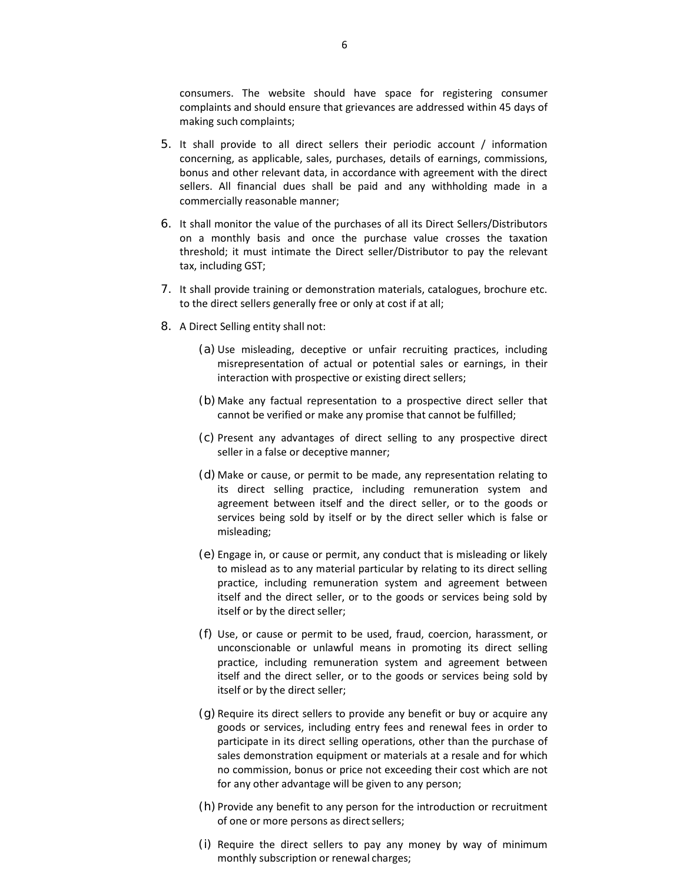consumers. The website should have space for registering consumer complaints and should ensure that grievances are addressed within 45 days of making such complaints;

- 5. It shall provide to all direct sellers their periodic account / information concerning, as applicable, sales, purchases, details of earnings, commissions, bonus and other relevant data, in accordance with agreement with the direct sellers. All financial dues shall be paid and any withholding made in a commercially reasonable manner;
- 6. It shall monitor the value of the purchases of all its Direct Sellers/Distributors on a monthly basis and once the purchase value crosses the taxation threshold; it must intimate the Direct seller/Distributor to pay the relevant tax, including GST;
- 7. It shall provide training or demonstration materials, catalogues, brochure etc. to the direct sellers generally free or only at cost if at all;
- 8. A Direct Selling entity shall not:
	- (a)Use misleading, deceptive or unfair recruiting practices, including misrepresentation of actual or potential sales or earnings, in their interaction with prospective or existing direct sellers;
	- (b)Make any factual representation to a prospective direct seller that cannot be verified or make any promise that cannot be fulfilled;
	- (c) Present any advantages of direct selling to any prospective direct seller in a false or deceptive manner;
	- (d)Make or cause, or permit to be made, any representation relating to its direct selling practice, including remuneration system and agreement between itself and the direct seller, or to the goods or services being sold by itself or by the direct seller which is false or misleading;
	- (e) Engage in, or cause or permit, any conduct that is misleading or likely to mislead as to any material particular by relating to its direct selling practice, including remuneration system and agreement between itself and the direct seller, or to the goods or services being sold by itself or by the direct seller;
	- (f) Use, or cause or permit to be used, fraud, coercion, harassment, or unconscionable or unlawful means in promoting its direct selling practice, including remuneration system and agreement between itself and the direct seller, or to the goods or services being sold by itself or by the direct seller;
	- (g)Require its direct sellers to provide any benefit or buy or acquire any goods or services, including entry fees and renewal fees in order to participate in its direct selling operations, other than the purchase of sales demonstration equipment or materials at a resale and for which no commission, bonus or price not exceeding their cost which are not for any other advantage will be given to any person;
	- (h) Provide any benefit to any person for the introduction or recruitment of one or more persons as direct sellers;
	- (i) Require the direct sellers to pay any money by way of minimum monthly subscription or renewal charges;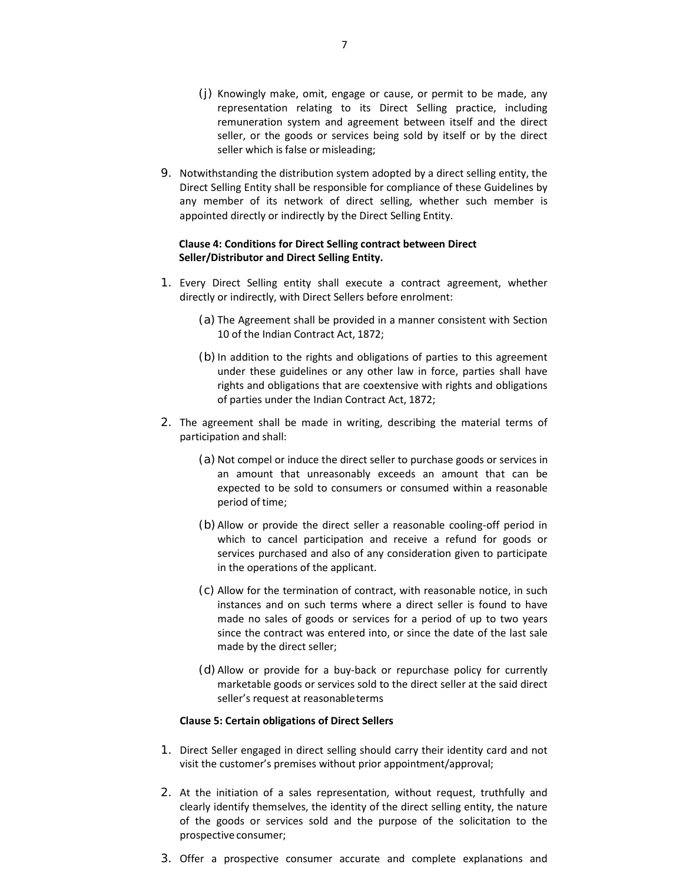- (j) Knowingly make, omit, engage or cause, or permit to be made, any representation relating to its Direct Selling practice, including remuneration system and agreement between itself and the direct seller, or the goods or services being sold by itself or by the direct seller which is false or misleading;
- 9. Notwithstanding the distribution system adopted by a direct selling entity, the Direct Selling Entity shall be responsible for compliance of these Guidelines by any member of its network of direct selling, whether such member is appointed directly or indirectly by the Direct Selling Entity.

### **Clause 4: Conditions for Direct Selling contract between Direct Seller/Distributor and Direct Selling Entity.**

- 1. Every Direct Selling entity shall execute a contract agreement, whether directly or indirectly, with Direct Sellers before enrolment:
	- (a) The Agreement shall be provided in a manner consistent with Section 10 of the Indian Contract Act, 1872;
	- (b) In addition to the rights and obligations of parties to this agreement under these guidelines or any other law in force, parties shall have rights and obligations that are coextensive with rights and obligations of parties under the Indian Contract Act, 1872;
- 2. The agreement shall be made in writing, describing the material terms of participation and shall:
	- (a) Not compel or induce the direct seller to purchase goods or services in an amount that unreasonably exceeds an amount that can be expected to be sold to consumers or consumed within a reasonable period of time;
	- (b)Allow or provide the direct seller a reasonable cooling-off period in which to cancel participation and receive a refund for goods or services purchased and also of any consideration given to participate in the operations of the applicant.
	- (c) Allow for the termination of contract, with reasonable notice, in such instances and on such terms where a direct seller is found to have made no sales of goods or services for a period of up to two years since the contract was entered into, or since the date of the last sale made by the direct seller;
	- (d)Allow or provide for a buy-back or repurchase policy for currently marketable goods or services sold to the direct seller at the said direct seller's request at reasonable terms

### **Clause 5: Certain obligations of Direct Sellers**

- 1. Direct Seller engaged in direct selling should carry their identity card and not visit the customer's premises without prior appointment/approval;
- 2. At the initiation of a sales representation, without request, truthfully and clearly identify themselves, the identity of the direct selling entity, the nature of the goods or services sold and the purpose of the solicitation to the prospective consumer;
- 3. Offer a prospective consumer accurate and complete explanations and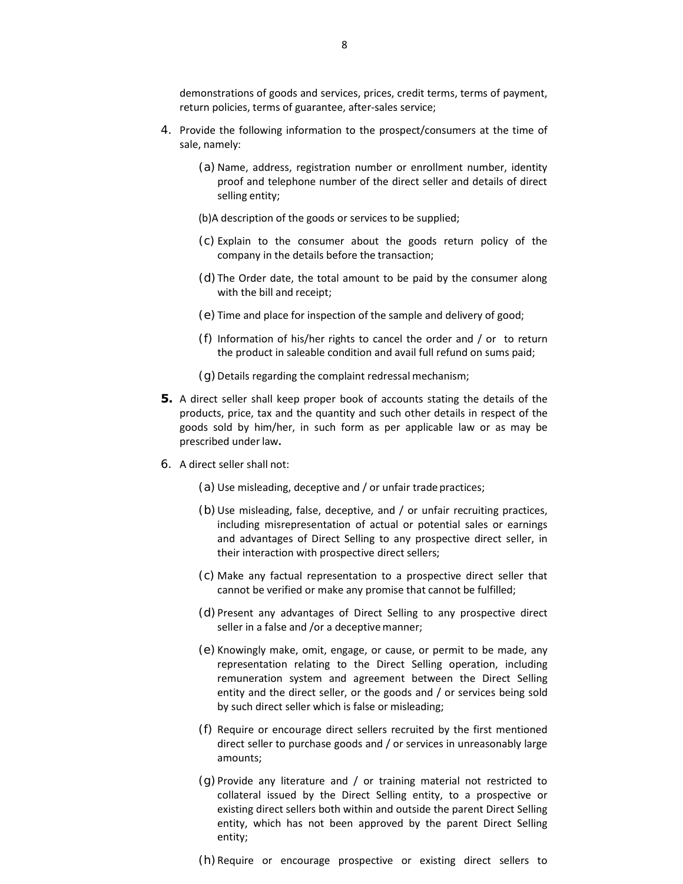- 4. Provide the following information to the prospect/consumers at the time of sale, namely:
	- (a) Name, address, registration number or enrollment number, identity proof and telephone number of the direct seller and details of direct selling entity;
	- (b) A description of the goods or services to be supplied;
	- (c) Explain to the consumer about the goods return policy of the company in the details before the transaction;
	- (d)The Order date, the total amount to be paid by the consumer along with the bill and receipt;
	- (e) Time and place for inspection of the sample and delivery of good;
	- (f) Information of his/her rights to cancel the order and / or to return the product in saleable condition and avail full refund on sums paid;
	- $(q)$  Details regarding the complaint redressal mechanism;
- **5.** A direct seller shall keep proper book of accounts stating the details of the products, price, tax and the quantity and such other details in respect of the goods sold by him/her, in such form as per applicable law or as may be prescribed under law**.**
- 6. A direct seller shall not:
	- (a)Use misleading, deceptive and / or unfair trade practices;
	- (b)Use misleading, false, deceptive, and / or unfair recruiting practices, including misrepresentation of actual or potential sales or earnings and advantages of Direct Selling to any prospective direct seller, in their interaction with prospective direct sellers;
	- (c) Make any factual representation to a prospective direct seller that cannot be verified or make any promise that cannot be fulfilled;
	- (d)Present any advantages of Direct Selling to any prospective direct seller in a false and /or a deceptive manner;
	- (e) Knowingly make, omit, engage, or cause, or permit to be made, any representation relating to the Direct Selling operation, including remuneration system and agreement between the Direct Selling entity and the direct seller, or the goods and / or services being sold by such direct seller which is false or misleading;
	- (f) Require or encourage direct sellers recruited by the first mentioned direct seller to purchase goods and / or services in unreasonably large amounts;
	- $(q)$  Provide any literature and / or training material not restricted to collateral issued by the Direct Selling entity, to a prospective or existing direct sellers both within and outside the parent Direct Selling entity, which has not been approved by the parent Direct Selling entity;

(h)Require or encourage prospective or existing direct sellers to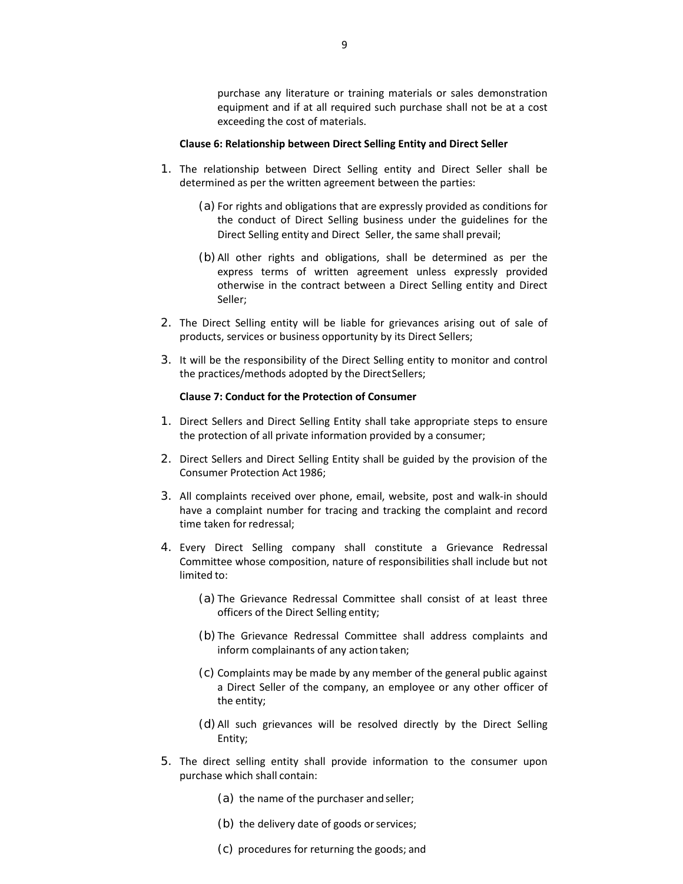purchase any literature or training materials or sales demonstration equipment and if at all required such purchase shall not be at a cost exceeding the cost of materials.

#### **Clause 6: Relationship between Direct Selling Entity and Direct Seller**

- 1. The relationship between Direct Selling entity and Direct Seller shall be determined as per the written agreement between the parties:
	- (a) For rights and obligations that are expressly provided as conditions for the conduct of Direct Selling business under the guidelines for the Direct Selling entity and Direct Seller, the same shall prevail;
	- (b)All other rights and obligations, shall be determined as per the express terms of written agreement unless expressly provided otherwise in the contract between a Direct Selling entity and Direct Seller;
- 2. The Direct Selling entity will be liable for grievances arising out of sale of products, services or business opportunity by its Direct Sellers;
- 3. It will be the responsibility of the Direct Selling entity to monitor and control the practices/methods adopted by the Direct Sellers;

#### **Clause 7: Conduct for the Protection of Consumer**

- 1. Direct Sellers and Direct Selling Entity shall take appropriate steps to ensure the protection of all private information provided by a consumer;
- 2. Direct Sellers and Direct Selling Entity shall be guided by the provision of the Consumer Protection Act 1986;
- 3. All complaints received over phone, email, website, post and walk-in should have a complaint number for tracing and tracking the complaint and record time taken for redressal;
- 4. Every Direct Selling company shall constitute a Grievance Redressal Committee whose composition, nature of responsibilities shall include but not limited to:
	- (a) The Grievance Redressal Committee shall consist of at least three officers of the Direct Selling entity;
	- (b)The Grievance Redressal Committee shall address complaints and inform complainants of any action taken;
	- (c) Complaints may be made by any member of the general public against a Direct Seller of the company, an employee or any other officer of the entity;
	- (d)All such grievances will be resolved directly by the Direct Selling Entity;
- 5. The direct selling entity shall provide information to the consumer upon purchase which shall contain:
	- (a) the name of the purchaser and seller;
	- (b) the delivery date of goods or services;
	- (c) procedures for returning the goods; and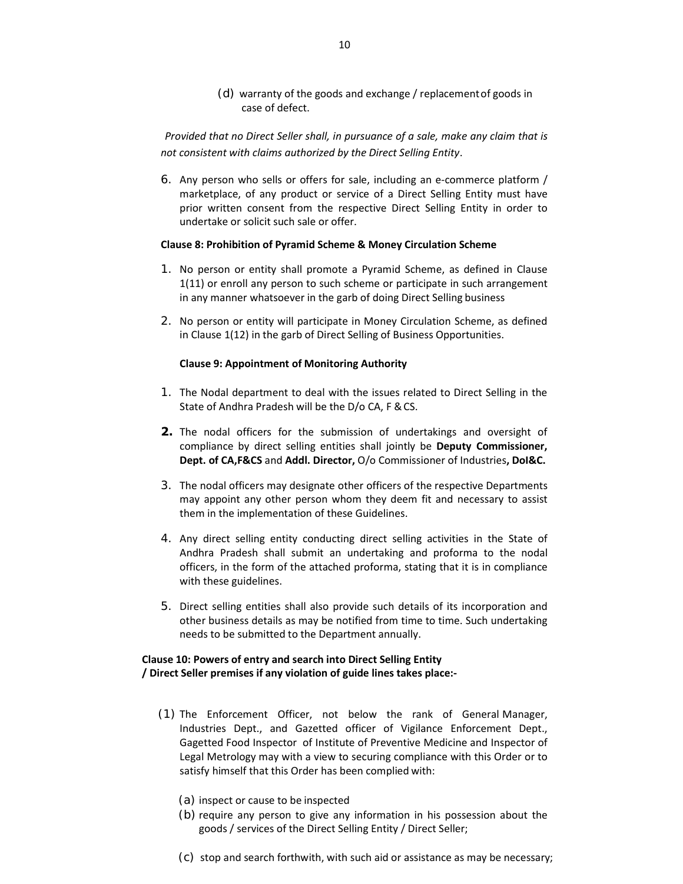(d) warranty of the goods and exchange / replacement of goods in case of defect.

*Provided that no Direct Seller shall, in pursuance of a sale, make any claim that is not consistent with claims authorized by the Direct Selling Entity*.

6. Any person who sells or offers for sale, including an e-commerce platform / marketplace, of any product or service of a Direct Selling Entity must have prior written consent from the respective Direct Selling Entity in order to undertake or solicit such sale or offer.

### **Clause 8: Prohibition of Pyramid Scheme & Money Circulation Scheme**

- 1. No person or entity shall promote a Pyramid Scheme, as defined in Clause 1(11) or enroll any person to such scheme or participate in such arrangement in any manner whatsoever in the garb of doing Direct Selling business
- 2. No person or entity will participate in Money Circulation Scheme, as defined in Clause 1(12) in the garb of Direct Selling of Business Opportunities.

#### **Clause 9: Appointment of Monitoring Authority**

- 1. The Nodal department to deal with the issues related to Direct Selling in the State of Andhra Pradesh will be the D/o CA, F & CS.
- **2.** The nodal officers for the submission of undertakings and oversight of compliance by direct selling entities shall jointly be **Deputy Commissioner, Dept. of CA,F&CS** and **Addl. Director,** O/o Commissioner of Industries**, DoI&C.**
- 3. The nodal officers may designate other officers of the respective Departments may appoint any other person whom they deem fit and necessary to assist them in the implementation of these Guidelines.
- 4. Any direct selling entity conducting direct selling activities in the State of Andhra Pradesh shall submit an undertaking and proforma to the nodal officers, in the form of the attached proforma, stating that it is in compliance with these guidelines.
- 5. Direct selling entities shall also provide such details of its incorporation and other business details as may be notified from time to time. Such undertaking needs to be submitted to the Department annually.

### **Clause 10: Powers of entry and search into Direct Selling Entity / Direct Seller premises if any violation of guide lines takes place:-**

- (1) The Enforcement Officer, not below the rank of General Manager, Industries Dept., and Gazetted officer of Vigilance Enforcement Dept., Gagetted Food Inspector of Institute of Preventive Medicine and Inspector of Legal Metrology may with a view to securing compliance with this Order or to satisfy himself that this Order has been complied with:
	- (a) inspect or cause to be inspected
	- (b) require any person to give any information in his possession about the goods / services of the Direct Selling Entity / Direct Seller;
	- (c) stop and search forthwith, with such aid or assistance as may be necessary;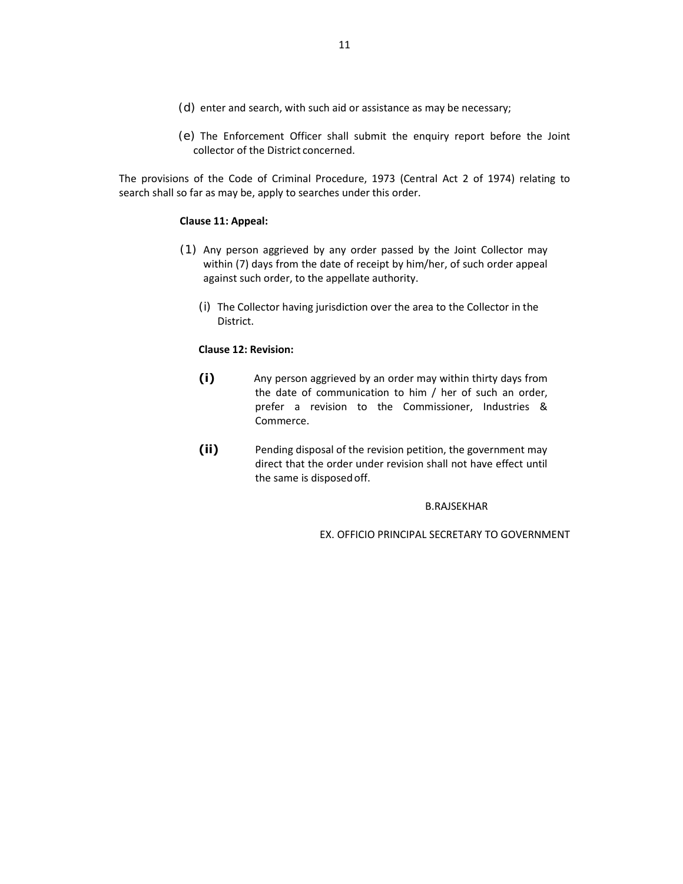- (d) enter and search, with such aid or assistance as may be necessary;
- (e) The Enforcement Officer shall submit the enquiry report before the Joint collector of the District concerned.

The provisions of the Code of Criminal Procedure, 1973 (Central Act 2 of 1974) relating to search shall so far as may be, apply to searches under this order.

### **Clause 11: Appeal:**

- (1) Any person aggrieved by any order passed by the Joint Collector may within (7) days from the date of receipt by him/her, of such order appeal against such order, to the appellate authority.
	- (i) The Collector having jurisdiction over the area to the Collector in the District.

### **Clause 12: Revision:**

- **(i)** Any person aggrieved by an order may within thirty days from the date of communication to him / her of such an order, prefer a revision to the Commissioner, Industries & Commerce.
- **(ii)** Pending disposal of the revision petition, the government may direct that the order under revision shall not have effect until the same is disposed off.

#### B.RAJSEKHAR

EX. OFFICIO PRINCIPAL SECRETARY TO GOVERNMENT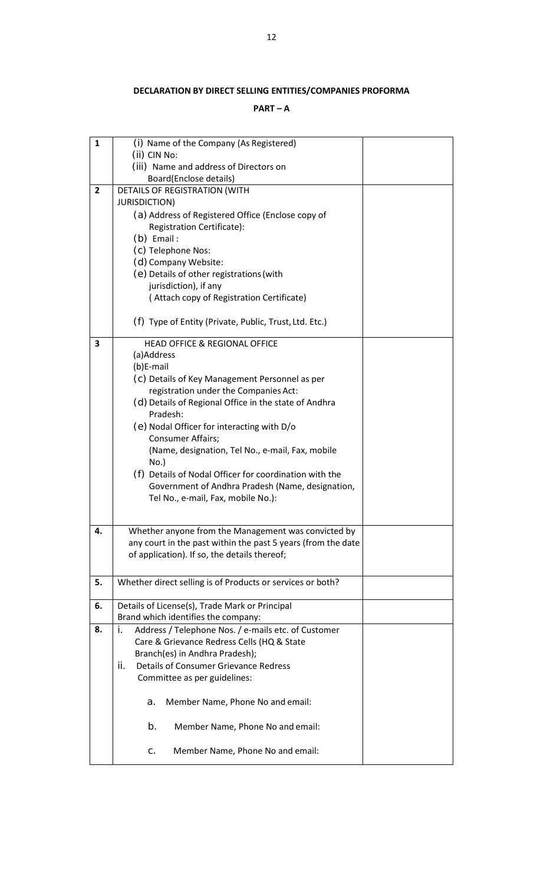# **DECLARATION BY DIRECT SELLING ENTITIES/COMPANIES PROFORMA**

# **PART – A**

| $\mathbf{1}$   | (i) Name of the Company (As Registered)                                                                             |  |  |  |  |
|----------------|---------------------------------------------------------------------------------------------------------------------|--|--|--|--|
|                | (ii) CIN No:                                                                                                        |  |  |  |  |
|                | (iii) Name and address of Directors on<br>Board(Enclose details)                                                    |  |  |  |  |
| $\overline{2}$ | DETAILS OF REGISTRATION (WITH                                                                                       |  |  |  |  |
|                | <b>JURISDICTION)</b>                                                                                                |  |  |  |  |
|                | (a) Address of Registered Office (Enclose copy of                                                                   |  |  |  |  |
|                | <b>Registration Certificate):</b>                                                                                   |  |  |  |  |
|                | $(b)$ Email:                                                                                                        |  |  |  |  |
|                | (c) Telephone Nos:                                                                                                  |  |  |  |  |
|                | (d) Company Website:                                                                                                |  |  |  |  |
|                | (e) Details of other registrations (with                                                                            |  |  |  |  |
|                | jurisdiction), if any                                                                                               |  |  |  |  |
|                | (Attach copy of Registration Certificate)                                                                           |  |  |  |  |
|                |                                                                                                                     |  |  |  |  |
|                | (f) Type of Entity (Private, Public, Trust, Ltd. Etc.)                                                              |  |  |  |  |
| 3              | <b>HEAD OFFICE &amp; REGIONAL OFFICE</b>                                                                            |  |  |  |  |
|                | (a)Address                                                                                                          |  |  |  |  |
|                | (b)E-mail                                                                                                           |  |  |  |  |
|                | (c) Details of Key Management Personnel as per                                                                      |  |  |  |  |
|                | registration under the Companies Act:                                                                               |  |  |  |  |
|                | (d) Details of Regional Office in the state of Andhra<br>Pradesh:                                                   |  |  |  |  |
|                | (e) Nodal Officer for interacting with D/o                                                                          |  |  |  |  |
|                | <b>Consumer Affairs;</b>                                                                                            |  |  |  |  |
|                | (Name, designation, Tel No., e-mail, Fax, mobile                                                                    |  |  |  |  |
|                | $No.$ )                                                                                                             |  |  |  |  |
|                | (f) Details of Nodal Officer for coordination with the                                                              |  |  |  |  |
|                | Government of Andhra Pradesh (Name, designation,                                                                    |  |  |  |  |
|                | Tel No., e-mail, Fax, mobile No.):                                                                                  |  |  |  |  |
|                |                                                                                                                     |  |  |  |  |
|                |                                                                                                                     |  |  |  |  |
| 4.             | Whether anyone from the Management was convicted by<br>any court in the past within the past 5 years (from the date |  |  |  |  |
|                | of application). If so, the details thereof;                                                                        |  |  |  |  |
|                |                                                                                                                     |  |  |  |  |
| 5.             | Whether direct selling is of Products or services or both?                                                          |  |  |  |  |
|                |                                                                                                                     |  |  |  |  |
| 6.             | Details of License(s), Trade Mark or Principal                                                                      |  |  |  |  |
|                | Brand which identifies the company:                                                                                 |  |  |  |  |
| 8.             | Address / Telephone Nos. / e-mails etc. of Customer<br>i.                                                           |  |  |  |  |
|                | Care & Grievance Redress Cells (HQ & State                                                                          |  |  |  |  |
|                | Branch(es) in Andhra Pradesh);                                                                                      |  |  |  |  |
|                | <b>Details of Consumer Grievance Redress</b><br>ii.                                                                 |  |  |  |  |
|                | Committee as per guidelines:                                                                                        |  |  |  |  |
|                | Member Name, Phone No and email:<br>a.                                                                              |  |  |  |  |
|                | b.<br>Member Name, Phone No and email:                                                                              |  |  |  |  |
|                | Member Name, Phone No and email:<br>C.                                                                              |  |  |  |  |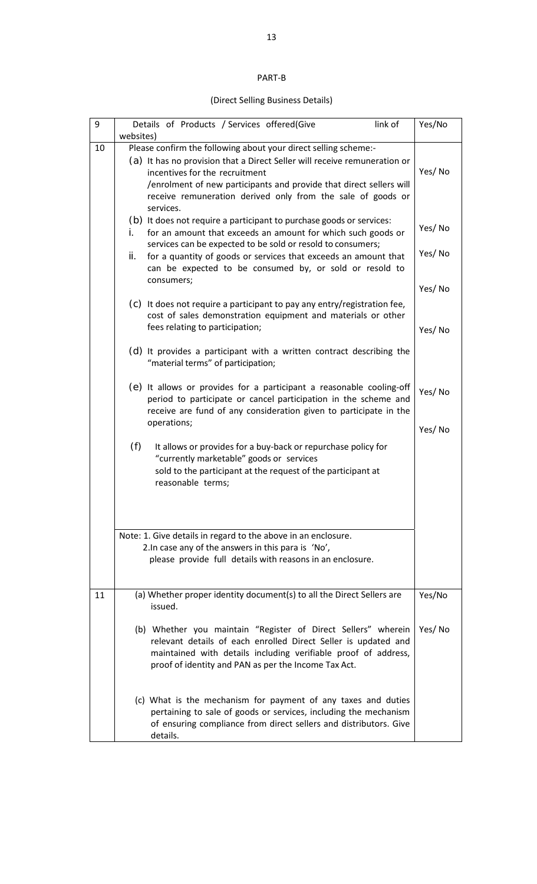# PART-B

# (Direct Selling Business Details)

| 9  | websites) | link of<br>Details of Products / Services offered(Give                                                                                                                                                                                                                                                                            | Yes/No |  |  |
|----|-----------|-----------------------------------------------------------------------------------------------------------------------------------------------------------------------------------------------------------------------------------------------------------------------------------------------------------------------------------|--------|--|--|
| 10 |           | Please confirm the following about your direct selling scheme:-<br>(a) It has no provision that a Direct Seller will receive remuneration or<br>incentives for the recruitment<br>/enrolment of new participants and provide that direct sellers will<br>receive remuneration derived only from the sale of goods or<br>services. | Yes/No |  |  |
|    | i.        | (b) It does not require a participant to purchase goods or services:<br>for an amount that exceeds an amount for which such goods or<br>services can be expected to be sold or resold to consumers;                                                                                                                               | Yes/No |  |  |
|    | ii.       | for a quantity of goods or services that exceeds an amount that<br>can be expected to be consumed by, or sold or resold to<br>consumers;                                                                                                                                                                                          | Yes/No |  |  |
|    |           |                                                                                                                                                                                                                                                                                                                                   | Yes/No |  |  |
|    |           | (c) It does not require a participant to pay any entry/registration fee,<br>cost of sales demonstration equipment and materials or other<br>fees relating to participation;                                                                                                                                                       | Yes/No |  |  |
|    |           | (d) It provides a participant with a written contract describing the<br>"material terms" of participation;                                                                                                                                                                                                                        |        |  |  |
|    |           | (e) It allows or provides for a participant a reasonable cooling-off<br>period to participate or cancel participation in the scheme and<br>receive are fund of any consideration given to participate in the                                                                                                                      | Yes/No |  |  |
|    |           | operations;                                                                                                                                                                                                                                                                                                                       | Yes/No |  |  |
|    | (f)       | It allows or provides for a buy-back or repurchase policy for<br>"currently marketable" goods or services<br>sold to the participant at the request of the participant at<br>reasonable terms;                                                                                                                                    |        |  |  |
|    |           |                                                                                                                                                                                                                                                                                                                                   |        |  |  |
|    |           | Note: 1. Give details in regard to the above in an enclosure.<br>2. In case any of the answers in this para is 'No',                                                                                                                                                                                                              |        |  |  |
|    |           | please provide full details with reasons in an enclosure.                                                                                                                                                                                                                                                                         |        |  |  |
| 11 |           | (a) Whether proper identity document(s) to all the Direct Sellers are<br>issued.                                                                                                                                                                                                                                                  | Yes/No |  |  |
|    |           | (b) Whether you maintain "Register of Direct Sellers" wherein<br>relevant details of each enrolled Direct Seller is updated and<br>maintained with details including verifiable proof of address,<br>proof of identity and PAN as per the Income Tax Act.                                                                         | Yes/No |  |  |
|    |           | (c) What is the mechanism for payment of any taxes and duties<br>pertaining to sale of goods or services, including the mechanism<br>of ensuring compliance from direct sellers and distributors. Give<br>details.                                                                                                                |        |  |  |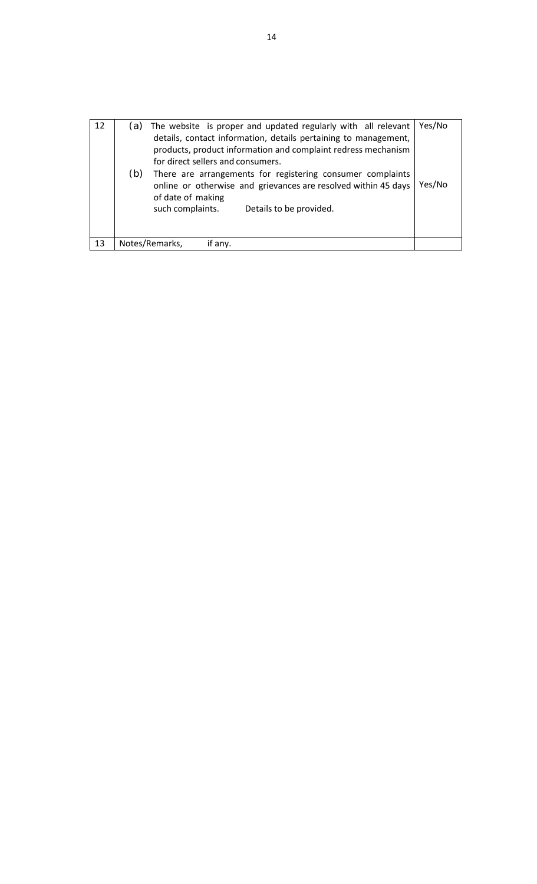| 12 | (a) | The website is proper and updated regularly with all relevant<br>details, contact information, details pertaining to management,<br>products, product information and complaint redress mechanism<br>for direct sellers and consumers. | Yes/No |
|----|-----|----------------------------------------------------------------------------------------------------------------------------------------------------------------------------------------------------------------------------------------|--------|
|    | (b) | There are arrangements for registering consumer complaints<br>online or otherwise and grievances are resolved within 45 days<br>of date of making<br>such complaints.<br>Details to be provided.                                       | Yes/No |
|    |     |                                                                                                                                                                                                                                        |        |
| 13 |     | Notes/Remarks,<br>if any.                                                                                                                                                                                                              |        |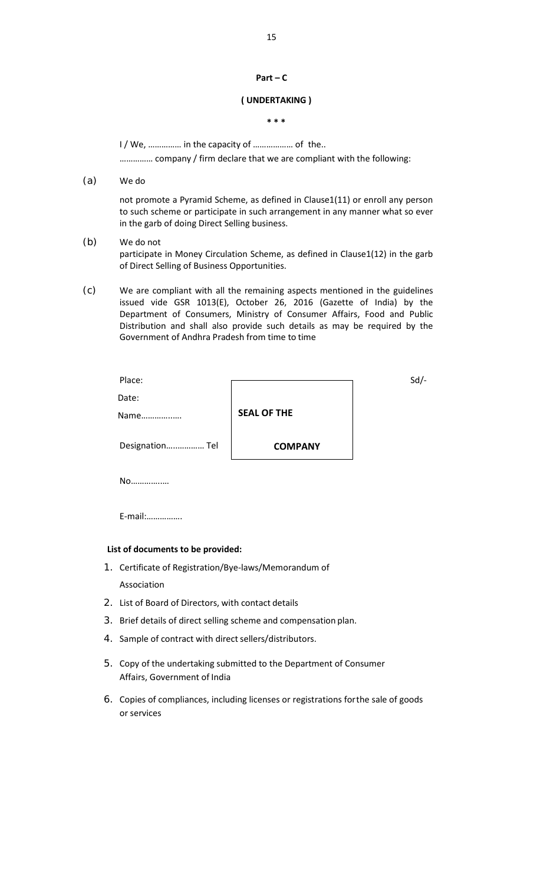# **Part – C**

## **( UNDERTAKING )**

**\* \* \*** 

I / We, …………… in the capacity of ……………… of the..

…………… company / firm declare that we are compliant with the following:

(a) We do

not promote a Pyramid Scheme, as defined in Clause1(11) or enroll any person to such scheme or participate in such arrangement in any manner what so ever in the garb of doing Direct Selling business.

(b) We do not

participate in Money Circulation Scheme, as defined in Clause1(12) in the garb of Direct Selling of Business Opportunities.

(c) We are compliant with all the remaining aspects mentioned in the guidelines issued vide GSR 1013(E), October 26, 2016 (Gazette of India) by the Department of Consumers, Ministry of Consumer Affairs, Food and Public Distribution and shall also provide such details as may be required by the Government of Andhra Pradesh from time to time

| Place:          |                    | $Sd$ - |
|-----------------|--------------------|--------|
| Date:           |                    |        |
| Name            | <b>SEAL OF THE</b> |        |
| Designation Tel | <b>COMPANY</b>     |        |
|                 |                    |        |

No…………..…

E-mail:…………….

## **List of documents to be provided:**

- 1. Certificate of Registration/Bye-laws/Memorandum of Association
- 2. List of Board of Directors, with contact details
- 3. Brief details of direct selling scheme and compensation plan.
- 4. Sample of contract with direct sellers/distributors.
- 5. Copy of the undertaking submitted to the Department of Consumer Affairs, Government of India
- 6. Copies of compliances, including licenses or registrations for the sale of goods or services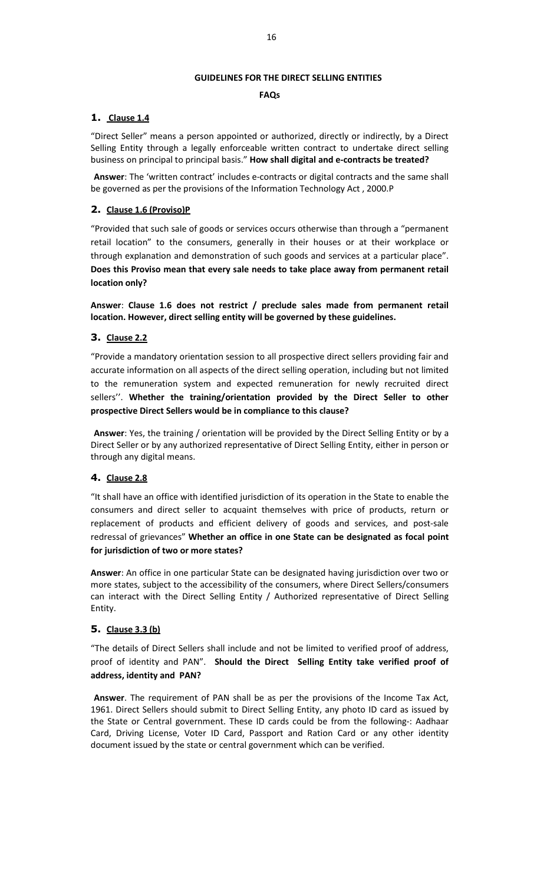## **GUIDELINES FOR THE DIRECT SELLING ENTITIES**

## **FAQs**

# **1. Clause 1.4**

"Direct Seller" means a person appointed or authorized, directly or indirectly, by a Direct Selling Entity through a legally enforceable written contract to undertake direct selling business on principal to principal basis." **How shall digital and e-contracts be treated?** 

**Answer**: The 'written contract' includes e-contracts or digital contracts and the same shall be governed as per the provisions of the Information Technology Act , 2000.P

# **2. Clause 1.6 (Proviso)P**

"Provided that such sale of goods or services occurs otherwise than through a "permanent retail location" to the consumers, generally in their houses or at their workplace or through explanation and demonstration of such goods and services at a particular place". **Does this Proviso mean that every sale needs to take place away from permanent retail location only?** 

**Answer**: **Clause 1.6 does not restrict / preclude sales made from permanent retail location. However, direct selling entity will be governed by these guidelines.** 

# **3. Clause 2.2**

"Provide a mandatory orientation session to all prospective direct sellers providing fair and accurate information on all aspects of the direct selling operation, including but not limited to the remuneration system and expected remuneration for newly recruited direct sellers''. **Whether the training/orientation provided by the Direct Seller to other prospective Direct Sellers would be in compliance to this clause?** 

**Answer**: Yes, the training / orientation will be provided by the Direct Selling Entity or by a Direct Seller or by any authorized representative of Direct Selling Entity, either in person or through any digital means.

# **4. Clause 2.8**

"It shall have an office with identified jurisdiction of its operation in the State to enable the consumers and direct seller to acquaint themselves with price of products, return or replacement of products and efficient delivery of goods and services, and post-sale redressal of grievances" **Whether an office in one State can be designated as focal point for jurisdiction of two or more states?** 

**Answer**: An office in one particular State can be designated having jurisdiction over two or more states, subject to the accessibility of the consumers, where Direct Sellers/consumers can interact with the Direct Selling Entity / Authorized representative of Direct Selling Entity.

# **5. Clause 3.3 (b)**

"The details of Direct Sellers shall include and not be limited to verified proof of address, proof of identity and PAN". **Should the Direct Selling Entity take verified proof of address, identity and PAN?** 

**Answer**. The requirement of PAN shall be as per the provisions of the Income Tax Act, 1961. Direct Sellers should submit to Direct Selling Entity, any photo ID card as issued by the State or Central government. These ID cards could be from the following-: Aadhaar Card, Driving License, Voter ID Card, Passport and Ration Card or any other identity document issued by the state or central government which can be verified.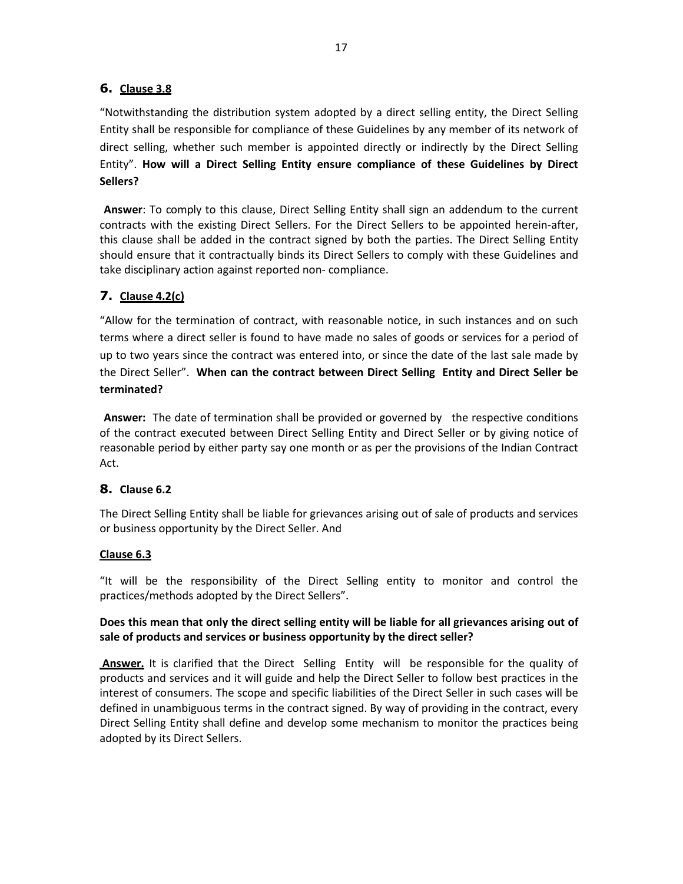## **6. Clause 3.8**

"Notwithstanding the distribution system adopted by a direct selling entity, the Direct Selling Entity shall be responsible for compliance of these Guidelines by any member of its network of direct selling, whether such member is appointed directly or indirectly by the Direct Selling Entity". **How will a Direct Selling Entity ensure compliance of these Guidelines by Direct Sellers?** 

**Answer**: To comply to this clause, Direct Selling Entity shall sign an addendum to the current contracts with the existing Direct Sellers. For the Direct Sellers to be appointed herein-after, this clause shall be added in the contract signed by both the parties. The Direct Selling Entity should ensure that it contractually binds its Direct Sellers to comply with these Guidelines and take disciplinary action against reported non- compliance.

## **7. Clause 4.2(c)**

"Allow for the termination of contract, with reasonable notice, in such instances and on such terms where a direct seller is found to have made no sales of goods or services for a period of up to two years since the contract was entered into, or since the date of the last sale made by the Direct Seller". **When can the contract between Direct Selling Entity and Direct Seller be terminated?** 

**Answer:** The date of termination shall be provided or governed by the respective conditions of the contract executed between Direct Selling Entity and Direct Seller or by giving notice of reasonable period by either party say one month or as per the provisions of the Indian Contract Act.

## **8. Clause 6.2**

The Direct Selling Entity shall be liable for grievances arising out of sale of products and services or business opportunity by the Direct Seller. And

### **Clause 6.3**

"It will be the responsibility of the Direct Selling entity to monitor and control the practices/methods adopted by the Direct Sellers".

### **Does this mean that only the direct selling entity will be liable for all grievances arising out of sale of products and services or business opportunity by the direct seller?**

 **Answer.** It is clarified that the Direct Selling Entity will be responsible for the quality of products and services and it will guide and help the Direct Seller to follow best practices in the interest of consumers. The scope and specific liabilities of the Direct Seller in such cases will be defined in unambiguous terms in the contract signed. By way of providing in the contract, every Direct Selling Entity shall define and develop some mechanism to monitor the practices being adopted by its Direct Sellers.